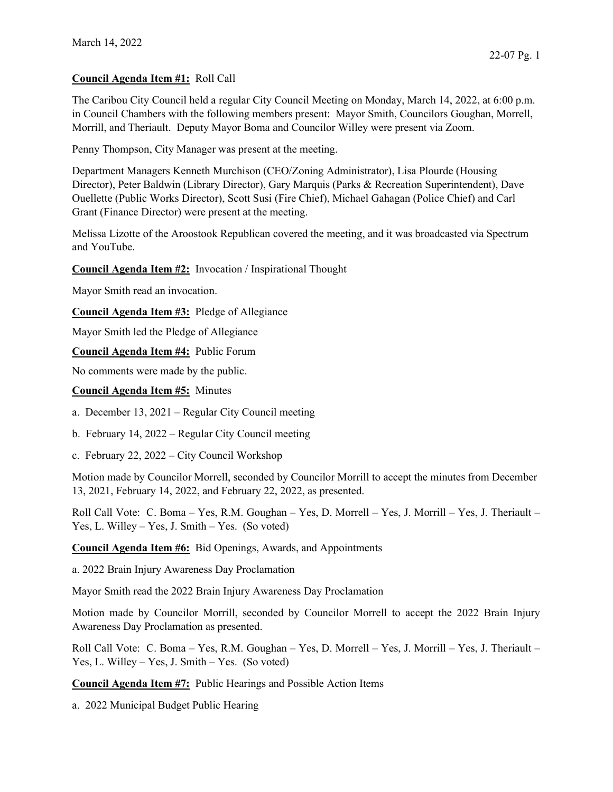## Council Agenda Item #1: Roll Call

The Caribou City Council held a regular City Council Meeting on Monday, March 14, 2022, at 6:00 p.m. in Council Chambers with the following members present: Mayor Smith, Councilors Goughan, Morrell, Morrill, and Theriault. Deputy Mayor Boma and Councilor Willey were present via Zoom.

Penny Thompson, City Manager was present at the meeting.

Department Managers Kenneth Murchison (CEO/Zoning Administrator), Lisa Plourde (Housing Director), Peter Baldwin (Library Director), Gary Marquis (Parks & Recreation Superintendent), Dave Ouellette (Public Works Director), Scott Susi (Fire Chief), Michael Gahagan (Police Chief) and Carl Grant (Finance Director) were present at the meeting.

Melissa Lizotte of the Aroostook Republican covered the meeting, and it was broadcasted via Spectrum and YouTube.

Council Agenda Item #2: Invocation / Inspirational Thought

Mayor Smith read an invocation.

Council Agenda Item #3: Pledge of Allegiance

Mayor Smith led the Pledge of Allegiance

Council Agenda Item #4: Public Forum

No comments were made by the public.

## Council Agenda Item #5: Minutes

a. December 13, 2021 – Regular City Council meeting

b. February 14, 2022 – Regular City Council meeting

c. February 22, 2022 – City Council Workshop

Motion made by Councilor Morrell, seconded by Councilor Morrill to accept the minutes from December 13, 2021, February 14, 2022, and February 22, 2022, as presented.

Roll Call Vote: C. Boma – Yes, R.M. Goughan – Yes, D. Morrell – Yes, J. Morrill – Yes, J. Theriault – Yes, L. Willey – Yes, J. Smith – Yes. (So voted)

Council Agenda Item #6: Bid Openings, Awards, and Appointments

a. 2022 Brain Injury Awareness Day Proclamation

Mayor Smith read the 2022 Brain Injury Awareness Day Proclamation

Motion made by Councilor Morrill, seconded by Councilor Morrell to accept the 2022 Brain Injury Awareness Day Proclamation as presented.

Roll Call Vote: C. Boma – Yes, R.M. Goughan – Yes, D. Morrell – Yes, J. Morrill – Yes, J. Theriault – Yes, L. Willey – Yes, J. Smith – Yes. (So voted)

Council Agenda Item #7: Public Hearings and Possible Action Items

a. 2022 Municipal Budget Public Hearing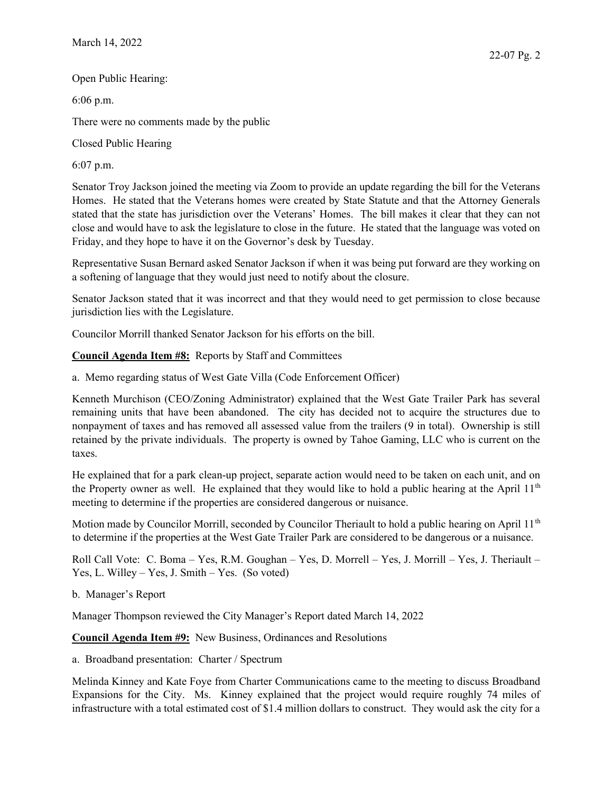Open Public Hearing:

6:06 p.m.

There were no comments made by the public

Closed Public Hearing

6:07 p.m.

Senator Troy Jackson joined the meeting via Zoom to provide an update regarding the bill for the Veterans Homes. He stated that the Veterans homes were created by State Statute and that the Attorney Generals stated that the state has jurisdiction over the Veterans' Homes. The bill makes it clear that they can not close and would have to ask the legislature to close in the future. He stated that the language was voted on Friday, and they hope to have it on the Governor's desk by Tuesday.

Representative Susan Bernard asked Senator Jackson if when it was being put forward are they working on a softening of language that they would just need to notify about the closure.

Senator Jackson stated that it was incorrect and that they would need to get permission to close because jurisdiction lies with the Legislature.

Councilor Morrill thanked Senator Jackson for his efforts on the bill.

Council Agenda Item #8: Reports by Staff and Committees

a. Memo regarding status of West Gate Villa (Code Enforcement Officer)

Kenneth Murchison (CEO/Zoning Administrator) explained that the West Gate Trailer Park has several remaining units that have been abandoned. The city has decided not to acquire the structures due to nonpayment of taxes and has removed all assessed value from the trailers (9 in total). Ownership is still retained by the private individuals. The property is owned by Tahoe Gaming, LLC who is current on the taxes.

He explained that for a park clean-up project, separate action would need to be taken on each unit, and on the Property owner as well. He explained that they would like to hold a public hearing at the April 11<sup>th</sup> meeting to determine if the properties are considered dangerous or nuisance.

Motion made by Councilor Morrill, seconded by Councilor Theriault to hold a public hearing on April  $11<sup>th</sup>$ to determine if the properties at the West Gate Trailer Park are considered to be dangerous or a nuisance.

Roll Call Vote: C. Boma – Yes, R.M. Goughan – Yes, D. Morrell – Yes, J. Morrill – Yes, J. Theriault – Yes, L. Willey – Yes, J. Smith – Yes. (So voted)

b. Manager's Report

Manager Thompson reviewed the City Manager's Report dated March 14, 2022

Council Agenda Item #9: New Business, Ordinances and Resolutions

a. Broadband presentation: Charter / Spectrum

Melinda Kinney and Kate Foye from Charter Communications came to the meeting to discuss Broadband Expansions for the City. Ms. Kinney explained that the project would require roughly 74 miles of infrastructure with a total estimated cost of \$1.4 million dollars to construct. They would ask the city for a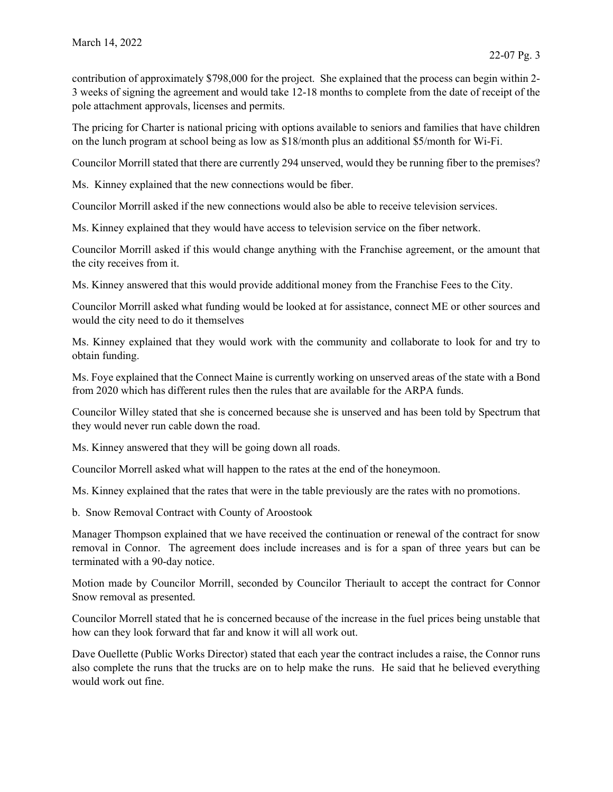contribution of approximately \$798,000 for the project. She explained that the process can begin within 2- 3 weeks of signing the agreement and would take 12-18 months to complete from the date of receipt of the pole attachment approvals, licenses and permits.

The pricing for Charter is national pricing with options available to seniors and families that have children on the lunch program at school being as low as \$18/month plus an additional \$5/month for Wi-Fi.

Councilor Morrill stated that there are currently 294 unserved, would they be running fiber to the premises?

Ms. Kinney explained that the new connections would be fiber.

Councilor Morrill asked if the new connections would also be able to receive television services.

Ms. Kinney explained that they would have access to television service on the fiber network.

Councilor Morrill asked if this would change anything with the Franchise agreement, or the amount that the city receives from it.

Ms. Kinney answered that this would provide additional money from the Franchise Fees to the City.

Councilor Morrill asked what funding would be looked at for assistance, connect ME or other sources and would the city need to do it themselves

Ms. Kinney explained that they would work with the community and collaborate to look for and try to obtain funding.

Ms. Foye explained that the Connect Maine is currently working on unserved areas of the state with a Bond from 2020 which has different rules then the rules that are available for the ARPA funds.

Councilor Willey stated that she is concerned because she is unserved and has been told by Spectrum that they would never run cable down the road.

Ms. Kinney answered that they will be going down all roads.

Councilor Morrell asked what will happen to the rates at the end of the honeymoon.

Ms. Kinney explained that the rates that were in the table previously are the rates with no promotions.

b. Snow Removal Contract with County of Aroostook

Manager Thompson explained that we have received the continuation or renewal of the contract for snow removal in Connor. The agreement does include increases and is for a span of three years but can be terminated with a 90-day notice.

Motion made by Councilor Morrill, seconded by Councilor Theriault to accept the contract for Connor Snow removal as presented.

Councilor Morrell stated that he is concerned because of the increase in the fuel prices being unstable that how can they look forward that far and know it will all work out.

Dave Ouellette (Public Works Director) stated that each year the contract includes a raise, the Connor runs also complete the runs that the trucks are on to help make the runs. He said that he believed everything would work out fine.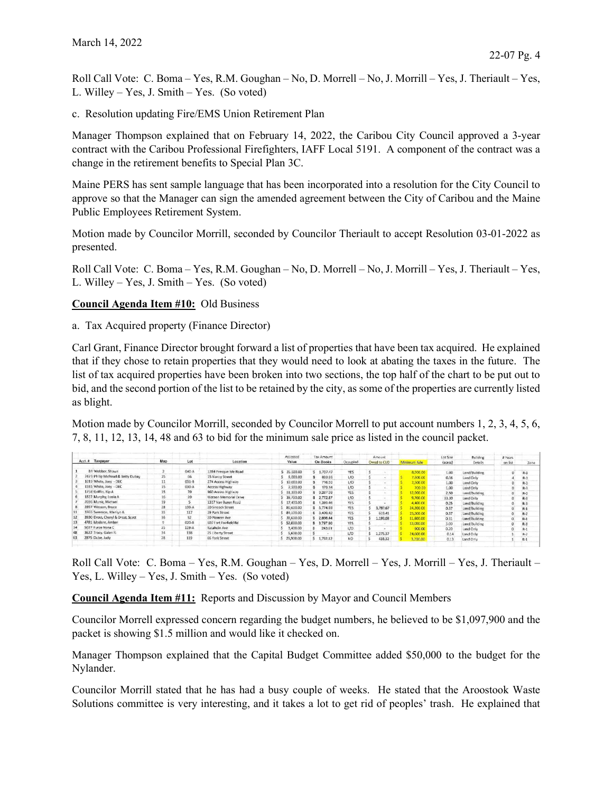Roll Call Vote: C. Boma – Yes, R.M. Goughan – No, D. Morrell – No, J. Morrill – Yes, J. Theriault – Yes, L. Willey – Yes, J. Smith – Yes. (So voted)

c. Resolution updating Fire/EMS Union Retirement Plan

Manager Thompson explained that on February 14, 2022, the Caribou City Council approved a 3-year contract with the Caribou Professional Firefighters, IAFF Local 5191. A component of the contract was a change in the retirement benefits to Special Plan 3C.

Maine PERS has sent sample language that has been incorporated into a resolution for the City Council to approve so that the Manager can sign the amended agreement between the City of Caribou and the Maine Public Employees Retirement System.

Motion made by Councilor Morrill, seconded by Councilor Theriault to accept Resolution 03-01-2022 as presented.

Roll Call Vote: C. Boma – Yes, R.M. Goughan – No, D. Morrell – No, J. Morrill – Yes, J. Theriault – Yes, L. Willey – Yes, J. Smith – Yes. (So voted)

Council Agenda Item #10: Old Business

a. Tax Acquired property (Finance Director)

Carl Grant, Finance Director brought forward a list of properties that have been tax acquired. He explained that if they chose to retain properties that they would need to look at abating the taxes in the future. The list of tax acquired properties have been broken into two sections, the top half of the chart to be put out to bid, and the second portion of the list to be retained by the city, as some of the properties are currently listed as blight.

Motion made by Councilor Morrill, seconded by Councilor Morrell to put account numbers 1, 2, 3, 4, 5, 6, 7, 8, 11, 12, 13, 14, 48 and 63 to bid for the minimum sale price as listed in the council packet.

| Acct. # Taxpayer                  |     | Lot             | Location                     | Assessed<br>Value | <b>Tax Amount</b><br>On Books | Occupied       | Amount<br>Owed to CUD | Minimum Sale | Lot Size<br>(acres) | Building<br>Details | # Years<br>on list | Zone  |
|-----------------------------------|-----|-----------------|------------------------------|-------------------|-------------------------------|----------------|-----------------------|--------------|---------------------|---------------------|--------------------|-------|
|                                   | Map |                 |                              |                   |                               |                |                       |              |                     |                     |                    |       |
| 84 Webber, Shawn                  |     | $040-A$         | 1284 Presque Isle Road       | 35,500.00         | 1.737.47                      | YES            |                       | 8,900.00     | 1.00                | Land/Building       |                    | $R-3$ |
| 2473 Philip Michaud & Betty Dubay | 25  | 65              | 15 Nancy Street              | 5,000.00          | 833.99                        | UQ             |                       | 7,600.00     | 0.16                | Land Only           |                    | $R-1$ |
| 1019 White, Joev - DEC            | 11  | $031 - 8$       | 274 Access Highway           | 10.000.00         | 716.50                        | L/O            |                       | 500.00       | 1.00                | Land Only           |                    | $R-3$ |
| 1585 White, Joey - DEC            | 15  | $030 - A$       | Access Highway               | 2,500.00          | 179.14                        | 1/0            |                       | 700.00       | 1.00                | Land Only           |                    | $R-3$ |
| 1758 Griffin, Kip A               | 15  | 70              | 960 Access Highway           | 51,300.00         | 3,267.38                      | YES            |                       | 2,900.00     | 2.50                | Land/Building       |                    | $R-3$ |
| 1822 Murphy, Leola A              | 16  | 20 <sup>°</sup> | Watson Memorial Drive        | 38,700.00         | \$2.772.87                    | 1/9            |                       | 9,700.00     | 33.30               | Land Only           |                    | $R-3$ |
| 2086 Muniz, Michael               | 19  |                 | 1317 Van Buren Road          | 17,400.00         | \$1,369.46                    | YES            |                       | 1,400.00     | 0.25                | Land/Building       |                    | $R-3$ |
| 2897 Wesson, Bruce                | 28  | $139-A$         | 20 Sincock Street            | 80,600.00         | 5.774.99                      | <b>YES</b>     | 3,787.67              | 24,200.00    | 0.37                | Land/Building       |                    | $R-1$ |
| 3765 Swenson, Marilyn A           | 35  | 117             | 29 Park Street               | 84,100.00         | \$ 3,409.42                   | YES            | 619.41                | 25,300.00    | 0.37                | Land/Building       |                    | $R-2$ |
| 3930 Drost, Cheryl & Drost, Scott | 36  | 52              | 20 Pioneer Ave               | 38,600.00         | 2.888.44                      | <b>YES</b>     | 1,193,03              | 11,600.00    | 0.31                | Land/Building       | 0                  | $R-1$ |
| 4781 Madore, Amber                |     | $020 - B$       | <b>607 Fort Fairfield Rd</b> | 52,000.00         | \$ 3,797.90                   | YES            |                       | 13,000.00    | 3.00                | Land/Building       | o                  | $R-3$ |
| 5027 Furze Nona C                 | 25  | $119-A$         | Katahdin Ave                 | 3,400.00          | 243.61                        | L/O            |                       | 900.00       | 0.20                | Land Only           | 0                  | $R-1$ |
| 3622 Tracy, Galen R.              | 34  | 138             | 25 Liberty Street            | 5,600.00          |                               | U <sup>0</sup> | 1,275.37              | 24,600.00    | 0.14                | Land Only           |                    | $R-2$ |
| 2875 Dube, Judy<br>63             | 28  | 119             | 66 York Street               | \$25,900.00       | $5$ 1.792.12                  | NO.            | 438.32                | 3,200,00     | 0.13                | Land Only           |                    | $R-1$ |

Roll Call Vote: C. Boma – Yes, R.M. Goughan – Yes, D. Morrell – Yes, J. Morrill – Yes, J. Theriault – Yes, L. Willey – Yes, J. Smith – Yes. (So voted)

Council Agenda Item #11: Reports and Discussion by Mayor and Council Members

Councilor Morrell expressed concern regarding the budget numbers, he believed to be \$1,097,900 and the packet is showing \$1.5 million and would like it checked on.

Manager Thompson explained that the Capital Budget Committee added \$50,000 to the budget for the Nylander.

Councilor Morrill stated that he has had a busy couple of weeks. He stated that the Aroostook Waste Solutions committee is very interesting, and it takes a lot to get rid of peoples' trash. He explained that